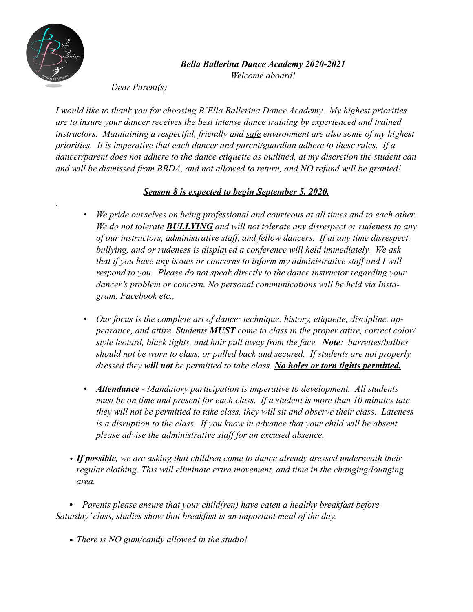

*.* 

## *Bella Ballerina Dance Academy 2020-2021 Welcome aboard!*

 *Dear Parent(s)* 

*I would like to thank you for choosing B'Ella Ballerina Dance Academy. My highest priorities are to insure your dancer receives the best intense dance training by experienced and trained instructors. Maintaining a respectful, friendly and safe environment are also some of my highest priorities. It is imperative that each dancer and parent/guardian adhere to these rules. If a dancer/parent does not adhere to the dance etiquette as outlined, at my discretion the student can and will be dismissed from BBDA, and not allowed to return, and NO refund will be granted!* 

## *Season 8 is expected to begin September 5, 2020.*

- *• We pride ourselves on being professional and courteous at all times and to each other. We do not tolerate BULLYING and will not tolerate any disrespect or rudeness to any of our instructors, administrative staff, and fellow dancers. If at any time disrespect, bullying, and or rudeness is displayed a conference will held immediately. We ask that if you have any issues or concerns to inform my administrative staff and I will respond to you. Please do not speak directly to the dance instructor regarding your dancer's problem or concern. No personal communications will be held via Instagram, Facebook etc.,*
- *• Our focus is the complete art of dance; technique, history, etiquette, discipline, appearance, and attire. Students MUST come to class in the proper attire, correct color/ style leotard, black tights, and hair pull away from the face. Note: barrettes/ballies should not be worn to class, or pulled back and secured. If students are not properly dressed they will not be permitted to take class. No holes or torn tights permitted.*
- *• Attendance Mandatory participation is imperative to development. All students must be on time and present for each class. If a student is more than 10 minutes late they will not be permitted to take class, they will sit and observe their class. Lateness*  is a disruption to the class. If you know in advance that your child will be absent *please advise the administrative staff for an excused absence.*
- *• If possible, we are asking that children come to dance already dressed underneath their regular clothing. This will eliminate extra movement, and time in the changing/lounging area.*

*• Parents please ensure that your child(ren) have eaten a healthy breakfast before Saturday' class, studies show that breakfast is an important meal of the day.* 

*• There is NO gum/candy allowed in the studio!*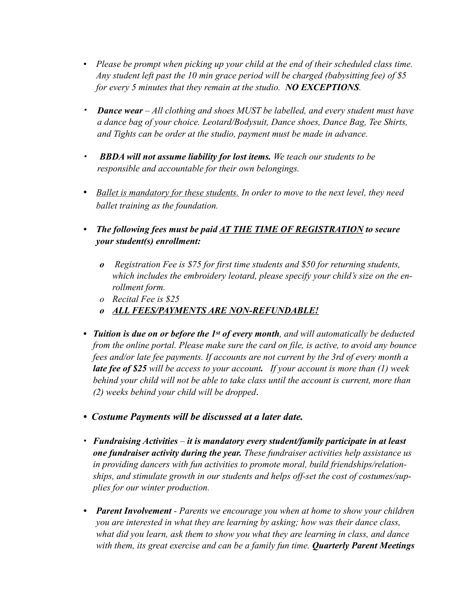- *Please be prompt when picking up your child at the end of their scheduled class time. Any student left past the 10 min grace period will be charged (babysitting fee) of \$5 for every 5 minutes that they remain at the studio. NO EXCEPTIONS.*
- *• Dance wear All clothing and shoes MUST be labelled, and every student must have a dance bag of your choice. Leotard/Bodysuit, Dance shoes, Dance Bag, Tee Shirts, and Tights can be order at the studio, payment must be made in advance.*
- *• BBDA will not assume liability for lost items. We teach our students to be responsible and accountable for their own belongings.*
- *• Ballet is mandatory for these students. In order to move to the next level, they need ballet training as the foundation.*
- *• The following fees must be paid AT THE TIME OF REGISTRATION to secure your student(s) enrollment:*
	- *o Registration Fee is \$75 for first time students and \$50 for returning students, which includes the embroidery leotard, please specify your child's size on the enrollment form.*
	- *o Recital Fee is \$25*
	- *o ALL FEES/PAYMENTS ARE NON-REFUNDABLE!*
- **•** *Tuition is due on or before the 1st of every month, and will automatically be deducted from the online portal. Please make sure the card on file, is active, to avoid any bounce fees and/or late fee payments. If accounts are not current by the 3rd of every month a late fee of \$25 will be access to your account. If your account is more than (1) week behind your child will not be able to take class until the account is current, more than (2) weeks behind your child will be dropped*.
- **•** *Costume Payments will be discussed at a later date.*
- **•** *Fundraising Activities it is mandatory every student/family participate in at least one fundraiser activity during the year. These fundraiser activities help assistance us in providing dancers with fun activities to promote moral, build friendships/relationships, and stimulate growth in our students and helps off-set the cost of costumes/supplies for our winter production.*
- *• Parent Involvement Parents we encourage you when at home to show your children you are interested in what they are learning by asking; how was their dance class, what did you learn, ask them to show you what they are learning in class, and dance with them, its great exercise and can be a family fun time. Quarterly Parent Meetings*